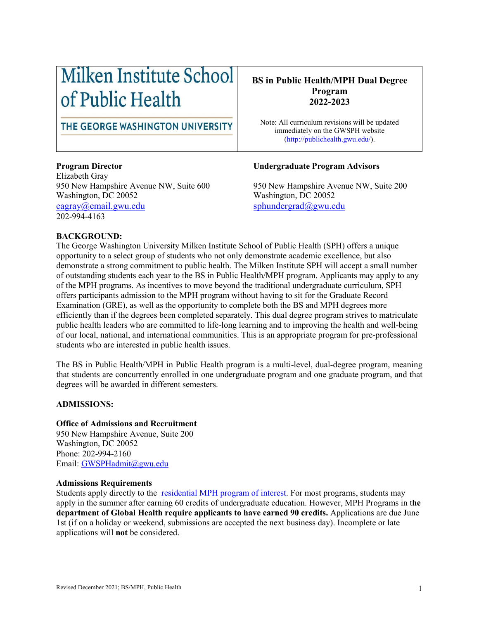# Milken Institute School of Public Health

# THE GEORGE WASHINGTON UNIVERSITY

Elizabeth Gray 950 New Hampshire Avenue NW, Suite 600 950 New Hampshire Avenue NW, Suite 200 Washington, DC 20052 Washington, DC 20052 [eagray@email.gwu.edu](mailto:eagray@email.gwu.edu) [sphundergrad@gwu.edu](mailto:sphundergrad@gwu.edu) 202-994-4163

# **BS in Public Health/MPH Dual Degree Program 2022-2023**

Note: All curriculum revisions will be updated immediately on the GWSPH website [\(http://publichealth.gwu.edu/\)](http://publichealth.gwu.edu/).

# **Program Director Undergraduate Program Advisors**

#### **BACKGROUND:**

The George Washington University Milken Institute School of Public Health (SPH) offers a unique opportunity to a select group of students who not only demonstrate academic excellence, but also demonstrate a strong commitment to public health. The Milken Institute SPH will accept a small number of outstanding students each year to the BS in Public Health/MPH program. Applicants may apply to any of the MPH programs. As incentives to move beyond the traditional undergraduate curriculum, SPH offers participants admission to the MPH program without having to sit for the Graduate Record Examination (GRE), as well as the opportunity to complete both the BS and MPH degrees more efficiently than if the degrees been completed separately. This dual degree program strives to matriculate public health leaders who are committed to life-long learning and to improving the health and well-being of our local, national, and international communities. This is an appropriate program for pre-professional students who are interested in public health issues.

The BS in Public Health/MPH in Public Health program is a multi-level, dual-degree program, meaning that students are concurrently enrolled in one undergraduate program and one graduate program, and that degrees will be awarded in different semesters.

#### **ADMISSIONS:**

#### **Office of Admissions and Recruitment**

950 New Hampshire Avenue, Suite 200 Washington, DC 20052 Phone: 202-994-2160 Email: [GWSPHadmit@gwu.edu](mailto:GWSPHadmit@gwu.edu)

#### **Admissions Requirements**

Students apply directly to the [residential MPH program](http://publichealth.gwu.edu/academics/graduate/masters-programs) of interest. For most programs, students may apply in the summer after earning 60 credits of undergraduate education. However, MPH Programs in t**he department of Global Health require applicants to have earned 90 credits.** Applications are due June 1st (if on a holiday or weekend, submissions are accepted the next business day). Incomplete or late applications will **not** be considered.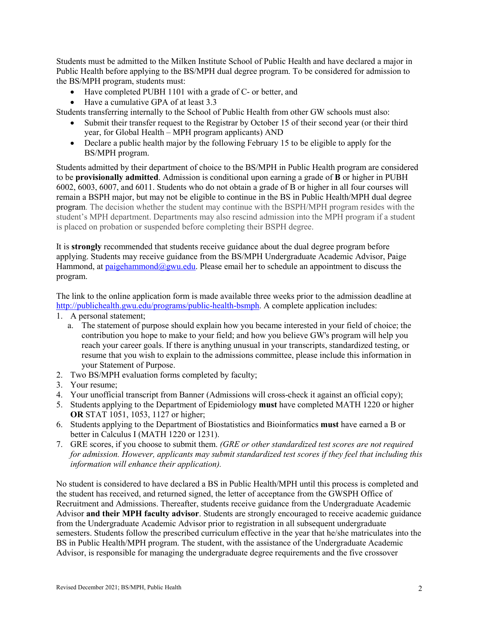Students must be admitted to the Milken Institute School of Public Health and have declared a major in Public Health before applying to the BS/MPH dual degree program. To be considered for admission to the BS/MPH program, students must:

- Have completed PUBH 1101 with a grade of C- or better, and
- Have a cumulative GPA of at least 3.3

Students transferring internally to the School of Public Health from other GW schools must also:

- Submit their transfer request to the Registrar by October 15 of their second year (or their third year, for Global Health – MPH program applicants) AND
- Declare a public health major by the following February 15 to be eligible to apply for the BS/MPH program.

Students admitted by their department of choice to the BS/MPH in Public Health program are considered to be **provisionally admitted**. Admission is conditional upon earning a grade of **B** or higher in PUBH 6002, 6003, 6007, and 6011. Students who do not obtain a grade of B or higher in all four courses will remain a BSPH major, but may not be eligible to continue in the BS in Public Health/MPH dual degree program. The decision whether the student may continue with the BSPH/MPH program resides with the student's MPH department. Departments may also rescind admission into the MPH program if a student is placed on probation or suspended before completing their BSPH degree.

It is **strongly** recommended that students receive guidance about the dual degree program before applying. Students may receive guidance from the BS/MPH Undergraduate Academic Advisor, Paige Hammond, at [paigehammond@gwu.edu.](mailto:justin_s@email.gwu.edu) Please email her to schedule an appointment to discuss the program.

The link to the online application form is made available three weeks prior to the admission deadline at [http://publichealth.gwu.edu/programs/public-health-bsmph.](http://publichealth.gwu.edu/programs/public-health-bsmph) A complete application includes:

- 1. A personal statement;
	- a. The statement of purpose should explain how you became interested in your field of choice; the contribution you hope to make to your field; and how you believe GW's program will help you reach your career goals. If there is anything unusual in your transcripts, standardized testing, or resume that you wish to explain to the admissions committee, please include this information in your Statement of Purpose.
- 2. Two BS/MPH evaluation forms completed by faculty;
- 3. Your resume;
- 4. Your unofficial transcript from Banner (Admissions will cross-check it against an official copy);
- 5. Students applying to the Department of Epidemiology **must** have completed MATH 1220 or higher **OR** STAT 1051, 1053, 1127 or higher;
- 6. Students applying to the Department of Biostatistics and Bioinformatics **must** have earned a B or better in Calculus I (MATH 1220 or 1231).
- 7. GRE scores, if you choose to submit them. *(GRE or other standardized test scores are not required for admission. However, applicants may submit standardized test scores if they feel that including this information will enhance their application).*

No student is considered to have declared a BS in Public Health/MPH until this process is completed and the student has received, and returned signed, the letter of acceptance from the GWSPH Office of Recruitment and Admissions. Thereafter, students receive guidance from the Undergraduate Academic Advisor **and their MPH faculty advisor**. Students are strongly encouraged to receive academic guidance from the Undergraduate Academic Advisor prior to registration in all subsequent undergraduate semesters. Students follow the prescribed curriculum effective in the year that he/she matriculates into the BS in Public Health/MPH program. The student, with the assistance of the Undergraduate Academic Advisor, is responsible for managing the undergraduate degree requirements and the five crossover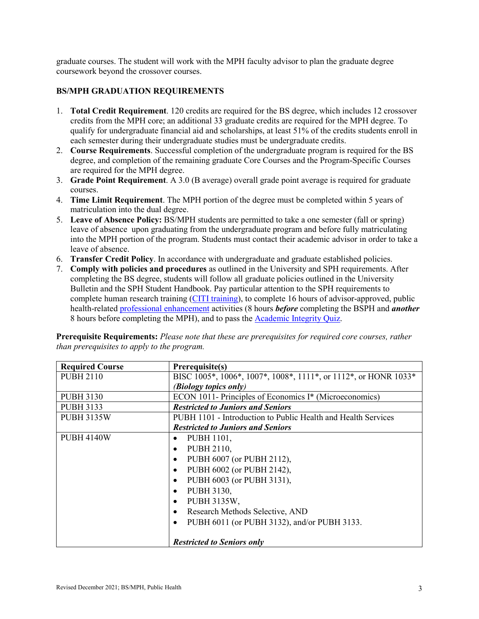graduate courses. The student will work with the MPH faculty advisor to plan the graduate degree coursework beyond the crossover courses.

### **BS/MPH GRADUATION REQUIREMENTS**

- 1. **Total Credit Requirement**. 120 credits are required for the BS degree, which includes 12 crossover credits from the MPH core; an additional 33 graduate credits are required for the MPH degree. To qualify for undergraduate financial aid and scholarships, at least 51% of the credits students enroll in each semester during their undergraduate studies must be undergraduate credits.
- 2. **Course Requirements**. Successful completion of the undergraduate program is required for the BS degree, and completion of the remaining graduate Core Courses and the Program-Specific Courses are required for the MPH degree.
- 3. **Grade Point Requirement**. A 3.0 (B average) overall grade point average is required for graduate courses.
- 4. **Time Limit Requirement**. The MPH portion of the degree must be completed within 5 years of matriculation into the dual degree.
- 5. **Leave of Absence Policy:** BS/MPH students are permitted to take a one semester (fall or spring) leave of absence upon graduating from the undergraduate program and before fully matriculating into the MPH portion of the program. Students must contact their academic advisor in order to take a leave of absence.
- 6. **Transfer Credit Policy**. In accordance with undergraduate and graduate established policies.
- 7. **Comply with policies and procedures** as outlined in the University and SPH requirements. After completing the BS degree, students will follow all graduate policies outlined in the University Bulletin and the SPH Student Handbook. Pay particular attention to the SPH requirements to complete human research training [\(CITI training\)](https://www.citiprogram.org/), to complete 16 hours of advisor-approved, public health-related [professional enhancement](https://publichealth.gwu.edu/sites/default/files/downloads/Professional%20Enhancement%20Policy%20Form%20122018.pdf) activities (8 hours *before* completing the BSPH and *another* 8 hours before completing the MPH), and to pass the [Academic Integrity Quiz.](https://publichealth.gwu.edu/integrity)

**Prerequisite Requirements:** *Please note that these are prerequisites for required core courses, rather than prerequisites to apply to the program.*

| <b>Required Course</b> | Prerequisite(s)                                                 |  |  |
|------------------------|-----------------------------------------------------------------|--|--|
| <b>PUBH 2110</b>       | BISC 1005*, 1006*, 1007*, 1008*, 1111*, or 1112*, or HONR 1033* |  |  |
|                        | (Biology topics only)                                           |  |  |
| <b>PUBH 3130</b>       | ECON 1011- Principles of Economics I* (Microeconomics)          |  |  |
| <b>PUBH 3133</b>       | <b>Restricted to Juniors and Seniors</b>                        |  |  |
| <b>PUBH 3135W</b>      | PUBH 1101 - Introduction to Public Health and Health Services   |  |  |
|                        | <b>Restricted to Juniors and Seniors</b>                        |  |  |
| <b>PUBH 4140W</b>      | PUBH 1101,<br>$\bullet$                                         |  |  |
|                        | PUBH 2110,<br>$\bullet$                                         |  |  |
|                        | PUBH 6007 (or PUBH 2112),<br>$\bullet$                          |  |  |
|                        | PUBH 6002 (or PUBH 2142),<br>$\bullet$                          |  |  |
|                        | PUBH 6003 (or PUBH 3131),<br>$\bullet$                          |  |  |
|                        | PUBH 3130,<br>$\bullet$                                         |  |  |
|                        | PUBH 3135W,<br>$\bullet$                                        |  |  |
|                        | Research Methods Selective, AND<br>$\bullet$                    |  |  |
|                        | PUBH 6011 (or PUBH 3132), and/or PUBH 3133.                     |  |  |
|                        |                                                                 |  |  |
|                        | <b>Restricted to Seniors only</b>                               |  |  |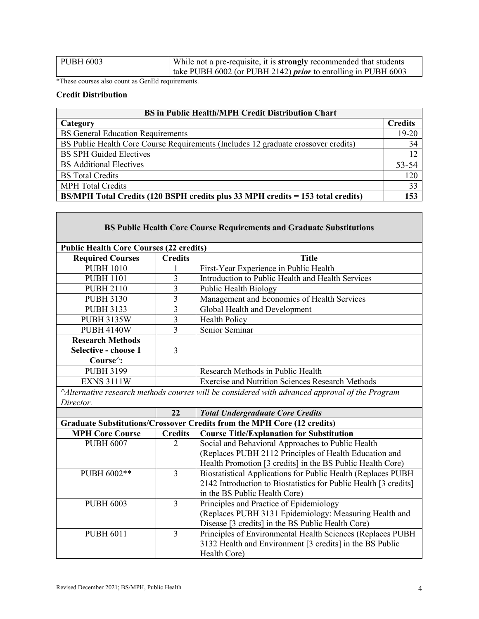| PUBH 6003 | While not a pre-requisite, it is <b>strongly</b> recommended that students |  |  |
|-----------|----------------------------------------------------------------------------|--|--|
|           | take PUBH 6002 (or PUBH 2142) <i>prior</i> to enrolling in PUBH 6003       |  |  |

\*These courses also count as GenEd requirements.

# **Credit Distribution**

| <b>BS</b> in Public Health/MPH Credit Distribution Chart                               |                |  |  |
|----------------------------------------------------------------------------------------|----------------|--|--|
| Category                                                                               | <b>Credits</b> |  |  |
| <b>BS</b> General Education Requirements                                               | 19-20          |  |  |
| BS Public Health Core Course Requirements (Includes 12 graduate crossover credits)     | 34             |  |  |
| <b>BS SPH Guided Electives</b>                                                         | 12             |  |  |
| <b>BS</b> Additional Electives                                                         | 53-54          |  |  |
| <b>BS</b> Total Credits                                                                | 120            |  |  |
| <b>MPH Total Credits</b>                                                               | 33             |  |  |
| <b>BS/MPH Total Credits (120 BSPH credits plus 33 MPH credits = 153 total credits)</b> | 153            |  |  |

| <b>BS Public Health Core Course Requirements and Graduate Substitutions</b>                                |                         |                                                                         |  |  |  |  |
|------------------------------------------------------------------------------------------------------------|-------------------------|-------------------------------------------------------------------------|--|--|--|--|
| <b>Public Health Core Courses (22 credits)</b>                                                             |                         |                                                                         |  |  |  |  |
| <b>Required Courses</b>                                                                                    | <b>Credits</b>          | <b>Title</b>                                                            |  |  |  |  |
| <b>PUBH 1010</b>                                                                                           | 1                       | First-Year Experience in Public Health                                  |  |  |  |  |
| <b>PUBH 1101</b>                                                                                           | 3                       | Introduction to Public Health and Health Services                       |  |  |  |  |
| <b>PUBH 2110</b>                                                                                           | $\overline{\mathbf{3}}$ | Public Health Biology                                                   |  |  |  |  |
| <b>PUBH 3130</b>                                                                                           | 3                       | Management and Economics of Health Services                             |  |  |  |  |
| <b>PUBH 3133</b>                                                                                           | $\overline{3}$          | Global Health and Development                                           |  |  |  |  |
| <b>PUBH 3135W</b>                                                                                          | $\overline{3}$          | Health Policy                                                           |  |  |  |  |
| <b>PUBH 4140W</b>                                                                                          | 3                       | Senior Seminar                                                          |  |  |  |  |
| <b>Research Methods</b><br>Selective - choose 1                                                            | 3                       |                                                                         |  |  |  |  |
| Course <sup><math>\land</math></sup> :                                                                     |                         |                                                                         |  |  |  |  |
| <b>PUBH 3199</b>                                                                                           |                         | Research Methods in Public Health                                       |  |  |  |  |
| <b>EXNS 3111W</b>                                                                                          |                         | <b>Exercise and Nutrition Sciences Research Methods</b>                 |  |  |  |  |
| Alternative research methods courses will be considered with advanced approval of the Program<br>Director. |                         |                                                                         |  |  |  |  |
|                                                                                                            | 22                      | <b>Total Undergraduate Core Credits</b>                                 |  |  |  |  |
|                                                                                                            |                         | Graduate Substitutions/Crossover Credits from the MPH Core (12 credits) |  |  |  |  |
| <b>MPH Core Course</b>                                                                                     | <b>Credits</b>          | <b>Course Title/Explanation for Substitution</b>                        |  |  |  |  |
| <b>PUBH 6007</b>                                                                                           | $\overline{2}$          | Social and Behavioral Approaches to Public Health                       |  |  |  |  |
|                                                                                                            |                         | (Replaces PUBH 2112 Principles of Health Education and                  |  |  |  |  |
|                                                                                                            |                         | Health Promotion [3 credits] in the BS Public Health Core)              |  |  |  |  |
| PUBH 6002**                                                                                                | $\overline{3}$          | Biostatistical Applications for Public Health (Replaces PUBH            |  |  |  |  |
|                                                                                                            |                         | 2142 Introduction to Biostatistics for Public Health [3 credits]        |  |  |  |  |
|                                                                                                            |                         | in the BS Public Health Core)                                           |  |  |  |  |
| <b>PUBH 6003</b>                                                                                           | 3                       | Principles and Practice of Epidemiology                                 |  |  |  |  |
|                                                                                                            |                         | (Replaces PUBH 3131 Epidemiology: Measuring Health and                  |  |  |  |  |
|                                                                                                            |                         | Disease [3 credits] in the BS Public Health Core)                       |  |  |  |  |
| <b>PUBH 6011</b>                                                                                           | $\overline{3}$          | Principles of Environmental Health Sciences (Replaces PUBH              |  |  |  |  |
|                                                                                                            |                         | 3132 Health and Environment [3 credits] in the BS Public                |  |  |  |  |
|                                                                                                            |                         | Health Core)                                                            |  |  |  |  |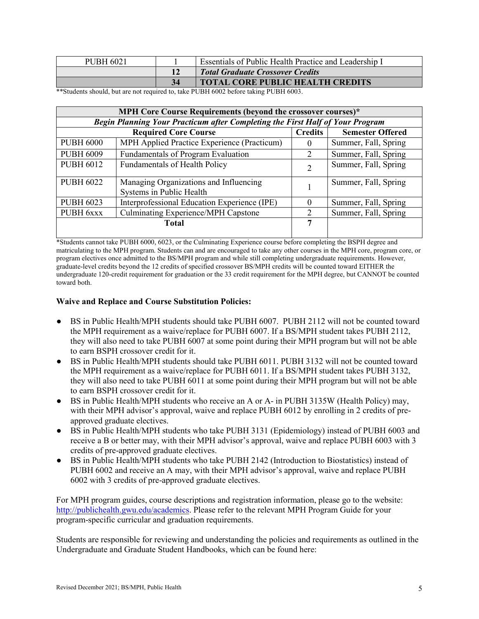| <b>PUBH 6021</b> | <b>Essentials of Public Health Practice and Leadership I</b> |  |
|------------------|--------------------------------------------------------------|--|
|                  | <b>Total Graduate Crossover Credits</b>                      |  |
|                  | <b>TOTAL CORE PUBLIC HEALTH CREDITS</b>                      |  |

\*\*Students should, but are not required to, take PUBH 6002 before taking PUBH 6003.

| MPH Core Course Requirements (beyond the crossover courses)*                  |                                                                    |                |                         |  |  |
|-------------------------------------------------------------------------------|--------------------------------------------------------------------|----------------|-------------------------|--|--|
| Begin Planning Your Practicum after Completing the First Half of Your Program |                                                                    |                |                         |  |  |
| <b>Required Core Course</b>                                                   |                                                                    |                | <b>Semester Offered</b> |  |  |
| <b>PUBH 6000</b>                                                              | MPH Applied Practice Experience (Practicum)                        | $\Omega$       | Summer, Fall, Spring    |  |  |
| <b>PUBH 6009</b>                                                              | Fundamentals of Program Evaluation                                 | 2              | Summer, Fall, Spring    |  |  |
| <b>PUBH 6012</b>                                                              | Fundamentals of Health Policy                                      | $\mathfrak{D}$ | Summer, Fall, Spring    |  |  |
| <b>PUBH 6022</b>                                                              | Managing Organizations and Influencing<br>Systems in Public Health |                | Summer, Fall, Spring    |  |  |
| <b>PUBH 6023</b>                                                              | Interprofessional Education Experience (IPE)                       |                | Summer, Fall, Spring    |  |  |
| PUBH 6xxx                                                                     | Culminating Experience/MPH Capstone                                |                | Summer, Fall, Spring    |  |  |
|                                                                               | <b>Total</b>                                                       | 7              |                         |  |  |

\*Students cannot take PUBH 6000, 6023, or the Culminating Experience course before completing the BSPH degree and matriculating to the MPH program. Students can and are encouraged to take any other courses in the MPH core, program core, or program electives once admitted to the BS/MPH program and while still completing undergraduate requirements. However, graduate-level credits beyond the 12 credits of specified crossover BS/MPH credits will be counted toward EITHER the undergraduate 120-credit requirement for graduation or the 33 credit requirement for the MPH degree, but CANNOT be counted toward both.

#### **Waive and Replace and Course Substitution Policies:**

- BS in Public Health/MPH students should take PUBH 6007. PUBH 2112 will not be counted toward the MPH requirement as a waive/replace for PUBH 6007. If a BS/MPH student takes PUBH 2112, they will also need to take PUBH 6007 at some point during their MPH program but will not be able to earn BSPH crossover credit for it.
- BS in Public Health/MPH students should take PUBH 6011. PUBH 3132 will not be counted toward the MPH requirement as a waive/replace for PUBH 6011. If a BS/MPH student takes PUBH 3132, they will also need to take PUBH 6011 at some point during their MPH program but will not be able to earn BSPH crossover credit for it.
- BS in Public Health/MPH students who receive an A or A- in PUBH 3135W (Health Policy) may, with their MPH advisor's approval, waive and replace PUBH 6012 by enrolling in 2 credits of preapproved graduate electives.
- BS in Public Health/MPH students who take PUBH 3131 (Epidemiology) instead of PUBH 6003 and receive a B or better may, with their MPH advisor's approval, waive and replace PUBH 6003 with 3 credits of pre-approved graduate electives.
- BS in Public Health/MPH students who take PUBH 2142 (Introduction to Biostatistics) instead of PUBH 6002 and receive an A may, with their MPH advisor's approval, waive and replace PUBH 6002 with 3 credits of pre-approved graduate electives.

For MPH program guides, course descriptions and registration information, please go to the website: [http://publichealth.gwu.edu/academics.](http://publichealth.gwu.edu/academics) Please refer to the relevant MPH Program Guide for your program-specific curricular and graduation requirements.

Students are responsible for reviewing and understanding the policies and requirements as outlined in the Undergraduate and Graduate Student Handbooks, which can be found here: